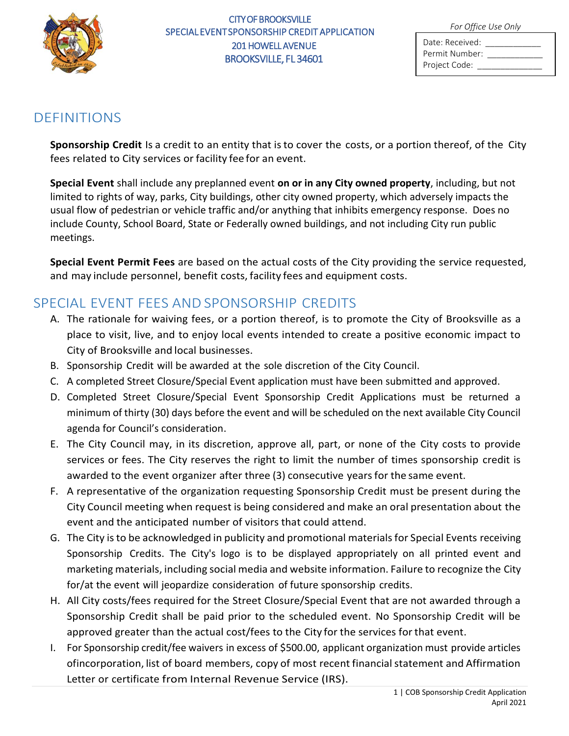

#### CITY OF BROOKSVILLE SPECIAL EVENT SPONSORSHIP CREDIT APPLICATION 201 HOWELL AVENUE BROOKSVILLE, FL 34601

*For Office Use Only*

| Date: Received: |  |
|-----------------|--|
| Permit Number:  |  |
| Project Code:   |  |

#### DEFINITIONS

**Sponsorship Credit** Is a credit to an entity that is to cover the costs, or a portion thereof, of the City fees related to City services or facility fee for an event.

**Special Event** shall include any preplanned event **on or in any City owned property**, including, but not limited to rights of way, parks, City buildings, other city owned property, which adversely impacts the usual flow of pedestrian or vehicle traffic and/or anything that inhibits emergency response. Does no include County, School Board, State or Federally owned buildings, and not including City run public meetings.

**Special Event Permit Fees** are based on the actual costs of the City providing the service requested, and may include personnel, benefit costs, facility fees and equipment costs.

# SPECIAL EVENT FEES AND SPONSORSHIP CREDITS

- A. The rationale for waiving fees, or a portion thereof, is to promote the City of Brooksville as a place to visit, live, and to enjoy local events intended to create a positive economic impact to City of Brooksville and local businesses.
- B. Sponsorship Credit will be awarded at the sole discretion of the City Council.
- C. A completed Street Closure/Special Event application must have been submitted and approved.
- D. Completed Street Closure/Special Event Sponsorship Credit Applications must be returned a minimum of thirty (30) days before the event and will be scheduled on the next available City Council agenda for Council's consideration.
- E. The City Council may, in its discretion, approve all, part, or none of the City costs to provide services or fees. The City reserves the right to limit the number of times sponsorship credit is awarded to the event organizer after three (3) consecutive years for the same event.
- F. A representative of the organization requesting Sponsorship Credit must be present during the City Council meeting when request is being considered and make an oral presentation about the event and the anticipated number of visitors that could attend.
- G. The City is to be acknowledged in publicity and promotional materials for Special Events receiving Sponsorship Credits. The City's logo is to be displayed appropriately on all printed event and marketing materials, including social media and website information. Failure to recognize the City for/at the event will jeopardize consideration of future sponsorship credits.
- H. All City costs/fees required for the Street Closure/Special Event that are not awarded through a Sponsorship Credit shall be paid prior to the scheduled event. No Sponsorship Credit will be approved greater than the actual cost/fees to the City for the services for that event.
- I. For Sponsorship credit/fee waivers in excess of \$500.00, applicant organization must provide articles ofincorporation, list of board members, copy of most recent financial statement and Affirmation Letter or certificate from Internal Revenue Service (IRS).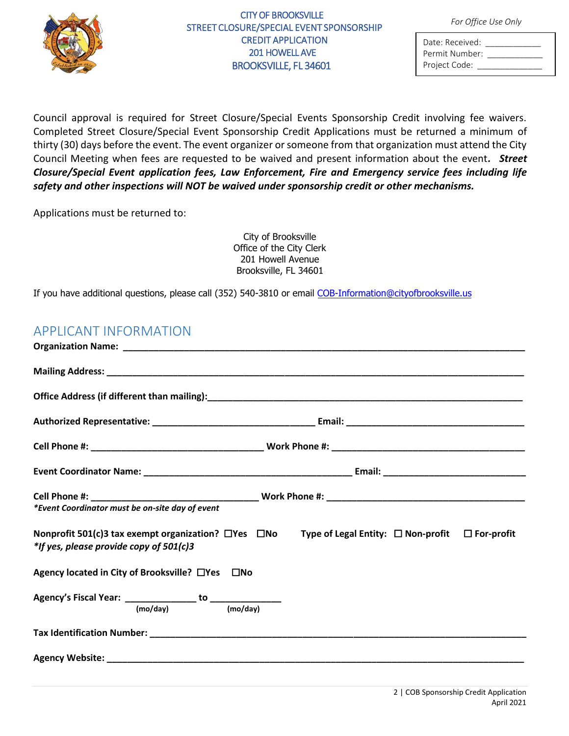

## CITY OF BROOKSVILLE *For Office Use Only* STREET CLOSURE/SPECIAL EVENT SPONSORSHIP CREDIT APPLICATION 201 HOWELL AVE BROOKSVILLE, FL 34601

| Date: Received: |  |
|-----------------|--|
| Permit Number:  |  |
| Project Code:   |  |

Council approval is required for Street Closure/Special Events Sponsorship Credit involving fee waivers. Completed Street Closure/Special Event Sponsorship Credit Applications must be returned a minimum of thirty (30) days before the event. The event organizer or someone from that organization must attend the City Council Meeting when fees are requested to be waived and present information about the event*. Street Closure/Special Event application fees, Law Enforcement, Fire and Emergency service fees including life safety and other inspections will NOT be waived under sponsorship credit or other mechanisms.* 

Applications must be returned to:

City of Brooksville Office of the City Clerk 201 Howell Avenue Brooksville, FL 34601

If you have additional questions, please call (352) 540-3810 or email COB-Information[@cityofbrooksville.us](mailto:COB-Information@cityofbrooksville.us)

## APPLICANT INFORMATION

| *Event Coordinator must be on-site day of event |  |                                                                                                                           |  |  |
|-------------------------------------------------|--|---------------------------------------------------------------------------------------------------------------------------|--|--|
| *If yes, please provide copy of 501(c)3         |  | Nonprofit 501(c)3 tax exempt organization? $\Box$ Yes $\Box$ No Type of Legal Entity: $\Box$ Non-profit $\Box$ For-profit |  |  |
| Agency located in City of Brooksville? □Yes □No |  |                                                                                                                           |  |  |
|                                                 |  |                                                                                                                           |  |  |
|                                                 |  |                                                                                                                           |  |  |
|                                                 |  |                                                                                                                           |  |  |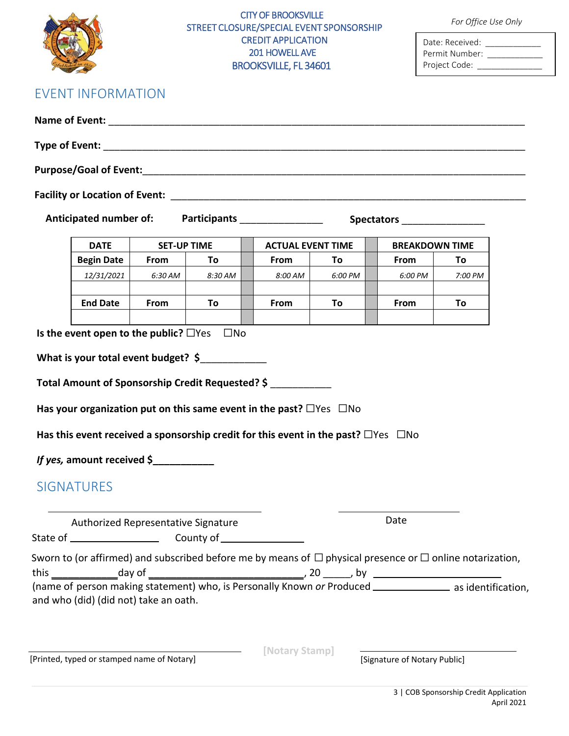|                                                 | <b>CITY OF BROOKSVILLE</b><br>STREET CLOSURE/SPECIAL EVENT SPONSORSHIP<br><b>CREDIT APPLICATION</b><br>201 HOWELL AVE<br><b>BROOKSVILLE, FL 34601</b> |         |                                                                                                                                                                                                                                     |         | For Office Use Only<br>Date: Received: ____________<br>Permit Number: ____________<br>Project Code: ______________ |                                                                                                                     |
|-------------------------------------------------|-------------------------------------------------------------------------------------------------------------------------------------------------------|---------|-------------------------------------------------------------------------------------------------------------------------------------------------------------------------------------------------------------------------------------|---------|--------------------------------------------------------------------------------------------------------------------|---------------------------------------------------------------------------------------------------------------------|
| <b>EVENT INFORMATION</b>                        |                                                                                                                                                       |         |                                                                                                                                                                                                                                     |         |                                                                                                                    |                                                                                                                     |
|                                                 |                                                                                                                                                       |         |                                                                                                                                                                                                                                     |         |                                                                                                                    |                                                                                                                     |
|                                                 |                                                                                                                                                       |         |                                                                                                                                                                                                                                     |         |                                                                                                                    |                                                                                                                     |
|                                                 |                                                                                                                                                       |         |                                                                                                                                                                                                                                     |         |                                                                                                                    |                                                                                                                     |
|                                                 |                                                                                                                                                       |         |                                                                                                                                                                                                                                     |         |                                                                                                                    |                                                                                                                     |
|                                                 |                                                                                                                                                       |         | Anticipated number of: Participants ________________                                                                                                                                                                                |         | Spectators __________________                                                                                      |                                                                                                                     |
| <b>DATE</b>                                     | <b>SET-UP TIME</b>                                                                                                                                    |         | <b>ACTUAL EVENT TIME</b>                                                                                                                                                                                                            |         | <b>BREAKDOWN TIME</b>                                                                                              |                                                                                                                     |
| <b>Begin Date</b>                               | From                                                                                                                                                  | To      | From                                                                                                                                                                                                                                | Τo      | From                                                                                                               | To                                                                                                                  |
| 12/31/2021                                      | 6:30 AM                                                                                                                                               | 8:30 AM | 8:00 AM                                                                                                                                                                                                                             | 6:00 PM | 6:00 PM                                                                                                            | 7:00 PM                                                                                                             |
| <b>End Date</b>                                 | <b>From</b>                                                                                                                                           | To      | From                                                                                                                                                                                                                                | To      | From                                                                                                               | To                                                                                                                  |
|                                                 |                                                                                                                                                       |         |                                                                                                                                                                                                                                     |         |                                                                                                                    |                                                                                                                     |
| If yes, amount received \$<br><b>SIGNATURES</b> |                                                                                                                                                       |         | Total Amount of Sponsorship Credit Requested? \$<br>Has your organization put on this same event in the past? $\Box$ Yes $\Box$ No<br>Has this event received a sponsorship credit for this event in the past? $\Box$ Yes $\Box$ No |         |                                                                                                                    |                                                                                                                     |
|                                                 |                                                                                                                                                       |         |                                                                                                                                                                                                                                     |         | Date                                                                                                               |                                                                                                                     |
| Authorized Representative Signature             |                                                                                                                                                       |         |                                                                                                                                                                                                                                     |         |                                                                                                                    |                                                                                                                     |
|                                                 |                                                                                                                                                       |         |                                                                                                                                                                                                                                     |         |                                                                                                                    | Sworn to (or affirmed) and subscribed before me by means of $\Box$ physical presence or $\Box$ online notarization, |
| and who (did) (did not) take an oath.           |                                                                                                                                                       |         |                                                                                                                                                                                                                                     |         |                                                                                                                    | (name of person making statement) who, is Personally Known or Produced ______________ as identification,            |
| [Printed, typed or stamped name of Notary]      | <u> 1989 - Johann Barbara, martin amerikan basar da</u>                                                                                               |         | [Notary Stamp]                                                                                                                                                                                                                      |         | [Signature of Notary Public]                                                                                       |                                                                                                                     |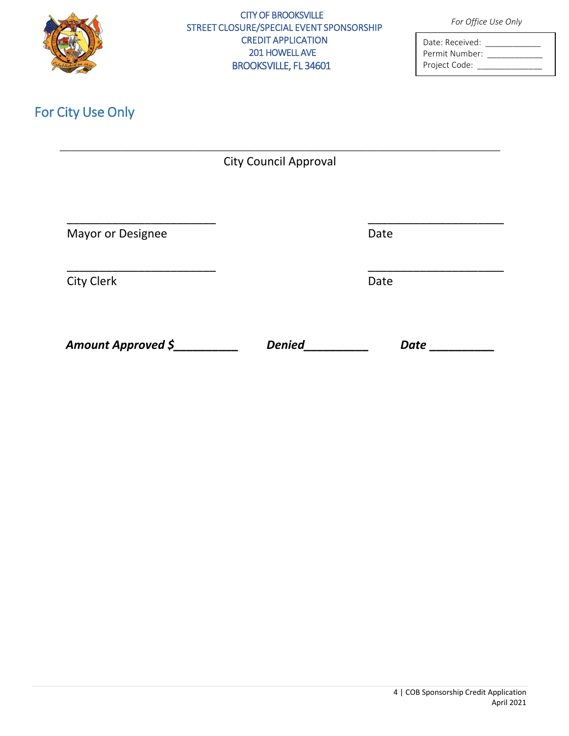

#### CITY OF BROOKSVILLE *For Office Use Only* STREET CLOSURE/SPECIAL EVENT SPONSORSHIP CREDIT APPLICATION 201 HOWELL AVE BROOKSVILLE, FL 34601

| Date: Received: |
|-----------------|
| Permit Number:  |
| Project Code:   |

# For City Use Only

| <b>City Council Approval</b> |  |
|------------------------------|--|

Mayor or Designee Date Date

City Clerk Date

*Amount Approved \$\_\_\_\_\_\_\_\_\_\_ Denied\_\_\_\_\_\_\_\_\_\_ Date* **\_\_\_\_\_\_\_\_\_\_** 

\_\_\_\_\_\_\_\_\_\_\_\_\_\_\_\_\_\_\_\_\_\_\_ \_\_\_\_\_\_\_\_\_\_\_\_\_\_\_\_\_\_\_\_\_ \_\_\_\_\_\_\_\_\_\_\_\_\_\_\_\_\_\_\_\_\_\_\_ \_\_\_\_\_\_\_\_\_\_\_\_\_\_\_\_\_\_\_\_\_